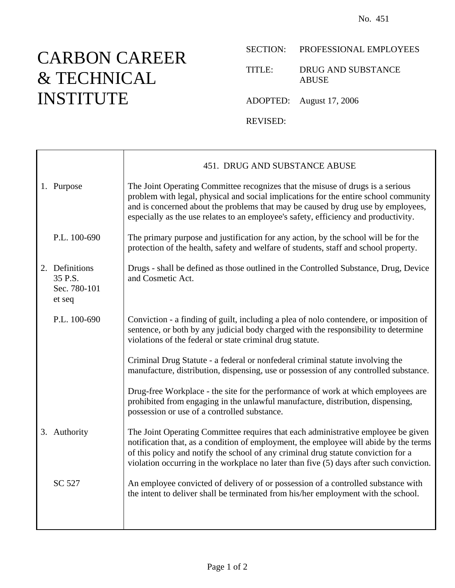## CARBON CAREER & TECHNICAL INSTITUTE

## SECTION: PROFESSIONAL EMPLOYEES

TITLE: DRUG AND SUBSTANCE ABUSE

ADOPTED: August 17, 2006

REVISED:

|                                                     | 451. DRUG AND SUBSTANCE ABUSE                                                                                                                                                                                                                                                                                                                               |
|-----------------------------------------------------|-------------------------------------------------------------------------------------------------------------------------------------------------------------------------------------------------------------------------------------------------------------------------------------------------------------------------------------------------------------|
| 1. Purpose                                          | The Joint Operating Committee recognizes that the misuse of drugs is a serious<br>problem with legal, physical and social implications for the entire school community<br>and is concerned about the problems that may be caused by drug use by employees,<br>especially as the use relates to an employee's safety, efficiency and productivity.           |
| P.L. 100-690                                        | The primary purpose and justification for any action, by the school will be for the<br>protection of the health, safety and welfare of students, staff and school property.                                                                                                                                                                                 |
| 2. Definitions<br>35 P.S.<br>Sec. 780-101<br>et seq | Drugs - shall be defined as those outlined in the Controlled Substance, Drug, Device<br>and Cosmetic Act.                                                                                                                                                                                                                                                   |
| P.L. 100-690                                        | Conviction - a finding of guilt, including a plea of nolo contendere, or imposition of<br>sentence, or both by any judicial body charged with the responsibility to determine<br>violations of the federal or state criminal drug statute.                                                                                                                  |
|                                                     | Criminal Drug Statute - a federal or nonfederal criminal statute involving the<br>manufacture, distribution, dispensing, use or possession of any controlled substance.                                                                                                                                                                                     |
|                                                     | Drug-free Workplace - the site for the performance of work at which employees are<br>prohibited from engaging in the unlawful manufacture, distribution, dispensing,<br>possession or use of a controlled substance.                                                                                                                                        |
| 3. Authority                                        | The Joint Operating Committee requires that each administrative employee be given<br>notification that, as a condition of employment, the employee will abide by the terms<br>of this policy and notify the school of any criminal drug statute conviction for a<br>violation occurring in the workplace no later than five (5) days after such conviction. |
| SC 527                                              | An employee convicted of delivery of or possession of a controlled substance with<br>the intent to deliver shall be terminated from his/her employment with the school.                                                                                                                                                                                     |
|                                                     |                                                                                                                                                                                                                                                                                                                                                             |